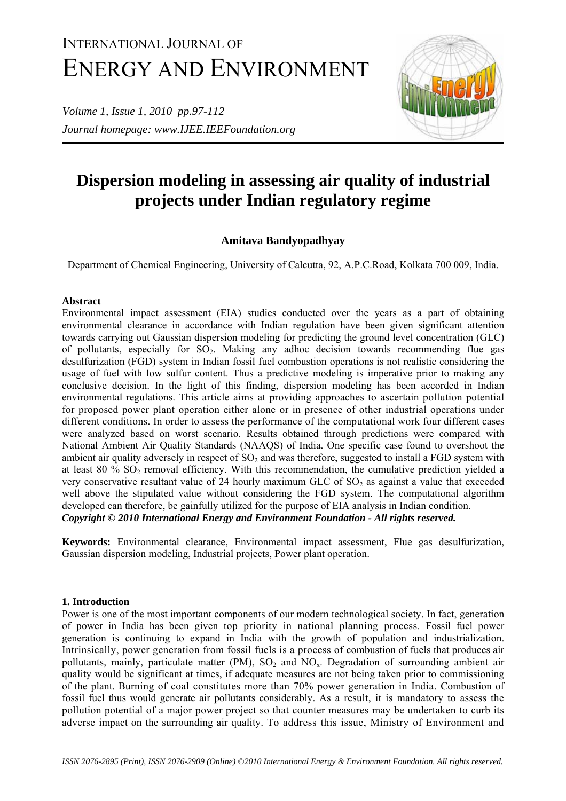# INTERNATIONAL JOURNAL OF ENERGY AND ENVIRONMENT

*Volume 1, Issue 1, 2010 pp.97-112 Journal homepage: www.IJEE.IEEFoundation.org* 



# **Dispersion modeling in assessing air quality of industrial projects under Indian regulatory regime**

# **Amitava Bandyopadhyay**

Department of Chemical Engineering, University of Calcutta, 92, A.P.C.Road, Kolkata 700 009, India.

# **Abstract**

Environmental impact assessment (EIA) studies conducted over the years as a part of obtaining environmental clearance in accordance with Indian regulation have been given significant attention towards carrying out Gaussian dispersion modeling for predicting the ground level concentration (GLC) of pollutants, especially for  $SO<sub>2</sub>$ . Making any adhoc decision towards recommending flue gas desulfurization (FGD) system in Indian fossil fuel combustion operations is not realistic considering the usage of fuel with low sulfur content. Thus a predictive modeling is imperative prior to making any conclusive decision. In the light of this finding, dispersion modeling has been accorded in Indian environmental regulations. This article aims at providing approaches to ascertain pollution potential for proposed power plant operation either alone or in presence of other industrial operations under different conditions. In order to assess the performance of the computational work four different cases were analyzed based on worst scenario. Results obtained through predictions were compared with National Ambient Air Quality Standards (NAAQS) of India. One specific case found to overshoot the ambient air quality adversely in respect of  $SO<sub>2</sub>$  and was therefore, suggested to install a FGD system with at least 80  $\%$  SO<sub>2</sub> removal efficiency. With this recommendation, the cumulative prediction yielded a very conservative resultant value of 24 hourly maximum GLC of  $SO<sub>2</sub>$  as against a value that exceeded well above the stipulated value without considering the FGD system. The computational algorithm developed can therefore, be gainfully utilized for the purpose of EIA analysis in Indian condition. *Copyright © 2010 International Energy and Environment Foundation - All rights reserved.*

**Keywords:** Environmental clearance, Environmental impact assessment, Flue gas desulfurization, Gaussian dispersion modeling, Industrial projects, Power plant operation.

# **1. Introduction**

Power is one of the most important components of our modern technological society. In fact, generation of power in India has been given top priority in national planning process. Fossil fuel power generation is continuing to expand in India with the growth of population and industrialization. Intrinsically, power generation from fossil fuels is a process of combustion of fuels that produces air pollutants, mainly, particulate matter (PM),  $SO_2$  and  $NO_x$ . Degradation of surrounding ambient air quality would be significant at times, if adequate measures are not being taken prior to commissioning of the plant. Burning of coal constitutes more than 70% power generation in India. Combustion of fossil fuel thus would generate air pollutants considerably. As a result, it is mandatory to assess the pollution potential of a major power project so that counter measures may be undertaken to curb its adverse impact on the surrounding air quality. To address this issue, Ministry of Environment and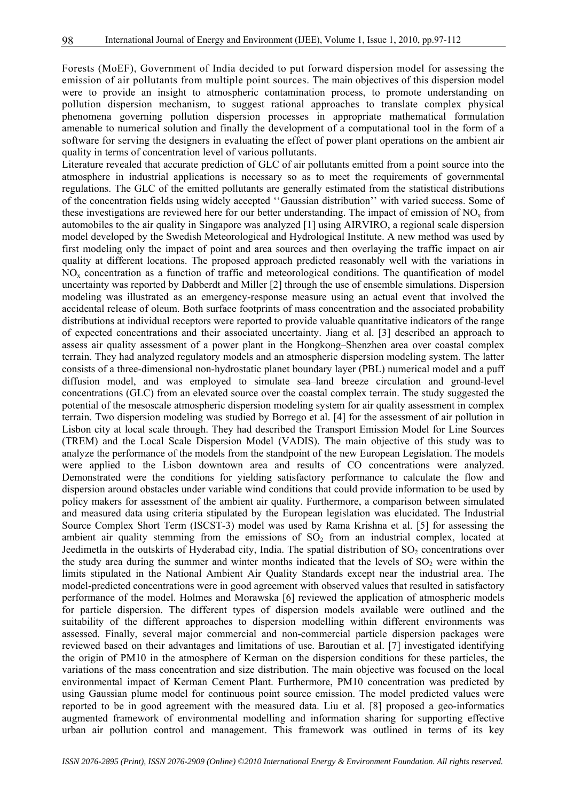Forests (MoEF), Government of India decided to put forward dispersion model for assessing the emission of air pollutants from multiple point sources. The main objectives of this dispersion model were to provide an insight to atmospheric contamination process, to promote understanding on pollution dispersion mechanism, to suggest rational approaches to translate complex physical phenomena governing pollution dispersion processes in appropriate mathematical formulation amenable to numerical solution and finally the development of a computational tool in the form of a software for serving the designers in evaluating the effect of power plant operations on the ambient air quality in terms of concentration level of various pollutants.

Literature revealed that accurate prediction of GLC of air pollutants emitted from a point source into the atmosphere in industrial applications is necessary so as to meet the requirements of governmental regulations. The GLC of the emitted pollutants are generally estimated from the statistical distributions of the concentration fields using widely accepted ''Gaussian distribution'' with varied success. Some of these investigations are reviewed here for our better understanding. The impact of emission of  $NO<sub>x</sub>$  from automobiles to the air quality in Singapore was analyzed [1] using AIRVIRO, a regional scale dispersion model developed by the Swedish Meteorological and Hydrological Institute. A new method was used by first modeling only the impact of point and area sources and then overlaying the traffic impact on air quality at different locations. The proposed approach predicted reasonably well with the variations in  $NO<sub>x</sub>$  concentration as a function of traffic and meteorological conditions. The quantification of model uncertainty was reported by Dabberdt and Miller [2] through the use of ensemble simulations. Dispersion modeling was illustrated as an emergency-response measure using an actual event that involved the accidental release of oleum. Both surface footprints of mass concentration and the associated probability distributions at individual receptors were reported to provide valuable quantitative indicators of the range of expected concentrations and their associated uncertainty. Jiang et al. [3] described an approach to assess air quality assessment of a power plant in the Hongkong–Shenzhen area over coastal complex terrain. They had analyzed regulatory models and an atmospheric dispersion modeling system. The latter consists of a three-dimensional non-hydrostatic planet boundary layer (PBL) numerical model and a puff diffusion model, and was employed to simulate sea–land breeze circulation and ground-level concentrations (GLC) from an elevated source over the coastal complex terrain. The study suggested the potential of the mesoscale atmospheric dispersion modeling system for air quality assessment in complex terrain. Two dispersion modeling was studied by Borrego et al. [4] for the assessment of air pollution in Lisbon city at local scale through. They had described the Transport Emission Model for Line Sources (TREM) and the Local Scale Dispersion Model (VADIS). The main objective of this study was to analyze the performance of the models from the standpoint of the new European Legislation. The models were applied to the Lisbon downtown area and results of CO concentrations were analyzed. Demonstrated were the conditions for yielding satisfactory performance to calculate the flow and dispersion around obstacles under variable wind conditions that could provide information to be used by policy makers for assessment of the ambient air quality. Furthermore, a comparison between simulated and measured data using criteria stipulated by the European legislation was elucidated. The Industrial Source Complex Short Term (ISCST-3) model was used by Rama Krishna et al. [5] for assessing the ambient air quality stemming from the emissions of  $SO<sub>2</sub>$  from an industrial complex, located at Jeedimetla in the outskirts of Hyderabad city, India. The spatial distribution of  $SO<sub>2</sub>$  concentrations over the study area during the summer and winter months indicated that the levels of  $SO<sub>2</sub>$  were within the limits stipulated in the National Ambient Air Quality Standards except near the industrial area. The model-predicted concentrations were in good agreement with observed values that resulted in satisfactory performance of the model. Holmes and Morawska [6] reviewed the application of atmospheric models for particle dispersion. The different types of dispersion models available were outlined and the suitability of the different approaches to dispersion modelling within different environments was assessed. Finally, several major commercial and non-commercial particle dispersion packages were reviewed based on their advantages and limitations of use. Baroutian et al. [7] investigated identifying the origin of PM10 in the atmosphere of Kerman on the dispersion conditions for these particles, the variations of the mass concentration and size distribution. The main objective was focused on the local environmental impact of Kerman Cement Plant. Furthermore, PM10 concentration was predicted by using Gaussian plume model for continuous point source emission. The model predicted values were reported to be in good agreement with the measured data. Liu et al. [8] proposed a geo-informatics augmented framework of environmental modelling and information sharing for supporting effective urban air pollution control and management. This framework was outlined in terms of its key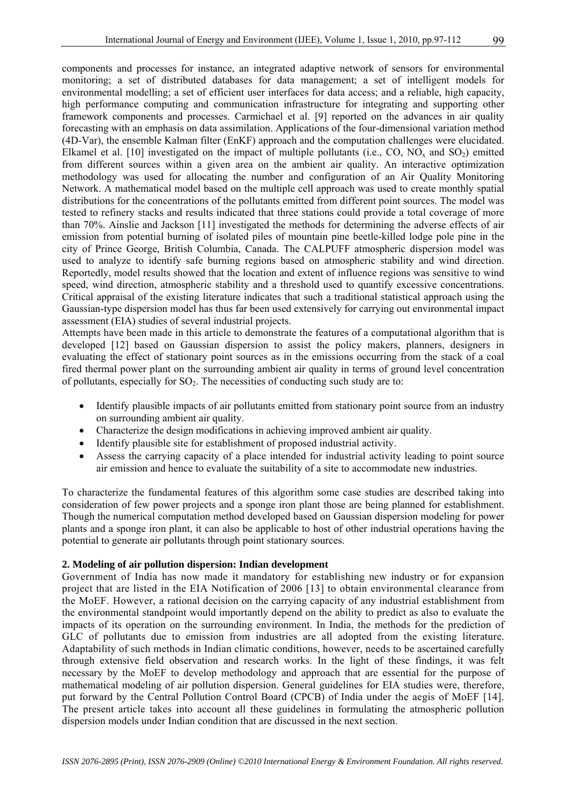components and processes for instance, an integrated adaptive network of sensors for environmental monitoring; a set of distributed databases for data management; a set of intelligent models for environmental modelling; a set of efficient user interfaces for data access; and a reliable, high capacity, high performance computing and communication infrastructure for integrating and supporting other framework components and processes. Carmichael et al. [9] reported on the advances in air quality forecasting with an emphasis on data assimilation. Applications of the four-dimensional variation method (4D-Var), the ensemble Kalman filter (EnKF) approach and the computation challenges were elucidated. Elkamel et al. [10] investigated on the impact of multiple pollutants (i.e., CO, NO<sub>x</sub> and SO<sub>2</sub>) emitted from different sources within a given area on the ambient air quality. An interactive optimization methodology was used for allocating the number and configuration of an Air Quality Monitoring Network. A mathematical model based on the multiple cell approach was used to create monthly spatial distributions for the concentrations of the pollutants emitted from different point sources. The model was tested to refinery stacks and results indicated that three stations could provide a total coverage of more than 70%. Ainslie and Jackson [11] investigated the methods for determining the adverse effects of air emission from potential burning of isolated piles of mountain pine beetle-killed lodge pole pine in the city of Prince George, British Columbia, Canada. The CALPUFF atmospheric dispersion model was used to analyze to identify safe burning regions based on atmospheric stability and wind direction. Reportedly, model results showed that the location and extent of influence regions was sensitive to wind speed, wind direction, atmospheric stability and a threshold used to quantify excessive concentrations. Critical appraisal of the existing literature indicates that such a traditional statistical approach using the Gaussian-type dispersion model has thus far been used extensively for carrying out environmental impact assessment (EIA) studies of several industrial projects.

Attempts have been made in this article to demonstrate the features of a computational algorithm that is developed [12] based on Gaussian dispersion to assist the policy makers, planners, designers in evaluating the effect of stationary point sources as in the emissions occurring from the stack of a coal fired thermal power plant on the surrounding ambient air quality in terms of ground level concentration of pollutants, especially for  $SO<sub>2</sub>$ . The necessities of conducting such study are to:

- Identify plausible impacts of air pollutants emitted from stationary point source from an industry on surrounding ambient air quality.
- Characterize the design modifications in achieving improved ambient air quality.
- Identify plausible site for establishment of proposed industrial activity.
- Assess the carrying capacity of a place intended for industrial activity leading to point source air emission and hence to evaluate the suitability of a site to accommodate new industries.

To characterize the fundamental features of this algorithm some case studies are described taking into consideration of few power projects and a sponge iron plant those are being planned for establishment. Though the numerical computation method developed based on Gaussian dispersion modeling for power plants and a sponge iron plant, it can also be applicable to host of other industrial operations having the potential to generate air pollutants through point stationary sources.

# **2. Modeling of air pollution dispersion: Indian development**

Government of India has now made it mandatory for establishing new industry or for expansion project that are listed in the EIA Notification of 2006 [13] to obtain environmental clearance from the MoEF. However, a rational decision on the carrying capacity of any industrial establishment from the environmental standpoint would importantly depend on the ability to predict as also to evaluate the impacts of its operation on the surrounding environment. In India, the methods for the prediction of GLC of pollutants due to emission from industries are all adopted from the existing literature. Adaptability of such methods in Indian climatic conditions, however, needs to be ascertained carefully through extensive field observation and research works. In the light of these findings, it was felt necessary by the MoEF to develop methodology and approach that are essential for the purpose of mathematical modeling of air pollution dispersion. General guidelines for EIA studies were, therefore, put forward by the Central Pollution Control Board (CPCB) of India under the aegis of MoEF [14]. The present article takes into account all these guidelines in formulating the atmospheric pollution dispersion models under Indian condition that are discussed in the next section.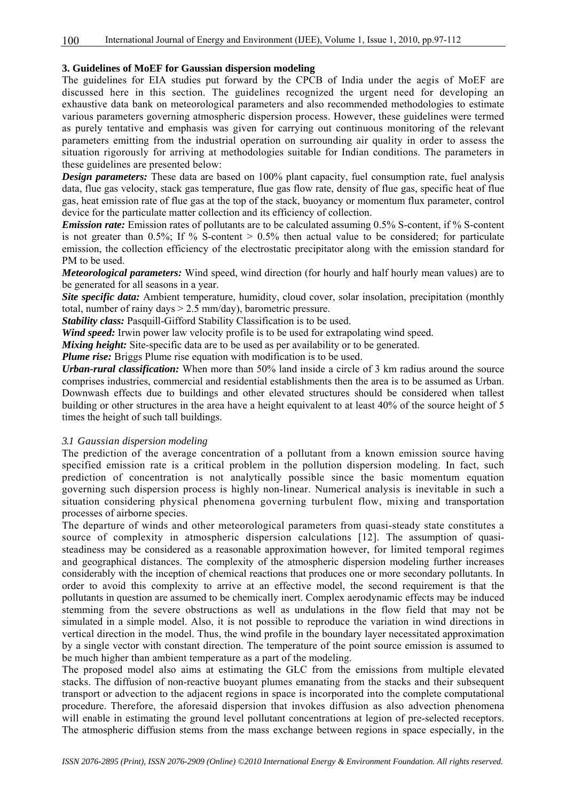# **3. Guidelines of MoEF for Gaussian dispersion modeling**

The guidelines for EIA studies put forward by the CPCB of India under the aegis of MoEF are discussed here in this section. The guidelines recognized the urgent need for developing an exhaustive data bank on meteorological parameters and also recommended methodologies to estimate various parameters governing atmospheric dispersion process. However, these guidelines were termed as purely tentative and emphasis was given for carrying out continuous monitoring of the relevant parameters emitting from the industrial operation on surrounding air quality in order to assess the situation rigorously for arriving at methodologies suitable for Indian conditions. The parameters in these guidelines are presented below:

*Design parameters:* These data are based on 100% plant capacity, fuel consumption rate, fuel analysis data, flue gas velocity, stack gas temperature, flue gas flow rate, density of flue gas, specific heat of flue gas, heat emission rate of flue gas at the top of the stack, buoyancy or momentum flux parameter, control device for the particulate matter collection and its efficiency of collection.

*Emission rate:* Emission rates of pollutants are to be calculated assuming 0.5% S-content, if % S-content is not greater than  $0.5\%$ ; If % S-content  $> 0.5\%$  then actual value to be considered; for particulate emission, the collection efficiency of the electrostatic precipitator along with the emission standard for PM to be used.

*Meteorological parameters:* Wind speed, wind direction (for hourly and half hourly mean values) are to be generated for all seasons in a year.

*Site specific data:* Ambient temperature, humidity, cloud cover, solar insolation, precipitation (monthly total, number of rainy days  $> 2.5$  mm/day), barometric pressure.

*Stability class:* Pasquill-Gifford Stability Classification is to be used.

*Wind speed:* Irwin power law velocity profile is to be used for extrapolating wind speed.

*Mixing height:* Site-specific data are to be used as per availability or to be generated.

*Plume rise:* Briggs Plume rise equation with modification is to be used.

*Urban-rural classification:* When more than 50% land inside a circle of 3 km radius around the source comprises industries, commercial and residential establishments then the area is to be assumed as Urban. Downwash effects due to buildings and other elevated structures should be considered when tallest building or other structures in the area have a height equivalent to at least 40% of the source height of 5 times the height of such tall buildings.

## *3.1 Gaussian dispersion modeling*

The prediction of the average concentration of a pollutant from a known emission source having specified emission rate is a critical problem in the pollution dispersion modeling. In fact, such prediction of concentration is not analytically possible since the basic momentum equation governing such dispersion process is highly non-linear. Numerical analysis is inevitable in such a situation considering physical phenomena governing turbulent flow, mixing and transportation processes of airborne species.

The departure of winds and other meteorological parameters from quasi-steady state constitutes a source of complexity in atmospheric dispersion calculations [12]. The assumption of quasisteadiness may be considered as a reasonable approximation however, for limited temporal regimes and geographical distances. The complexity of the atmospheric dispersion modeling further increases considerably with the inception of chemical reactions that produces one or more secondary pollutants. In order to avoid this complexity to arrive at an effective model, the second requirement is that the pollutants in question are assumed to be chemically inert. Complex aerodynamic effects may be induced stemming from the severe obstructions as well as undulations in the flow field that may not be simulated in a simple model. Also, it is not possible to reproduce the variation in wind directions in vertical direction in the model. Thus, the wind profile in the boundary layer necessitated approximation by a single vector with constant direction. The temperature of the point source emission is assumed to be much higher than ambient temperature as a part of the modeling.

The proposed model also aims at estimating the GLC from the emissions from multiple elevated stacks. The diffusion of non-reactive buoyant plumes emanating from the stacks and their subsequent transport or advection to the adjacent regions in space is incorporated into the complete computational procedure. Therefore, the aforesaid dispersion that invokes diffusion as also advection phenomena will enable in estimating the ground level pollutant concentrations at legion of pre-selected receptors. The atmospheric diffusion stems from the mass exchange between regions in space especially, in the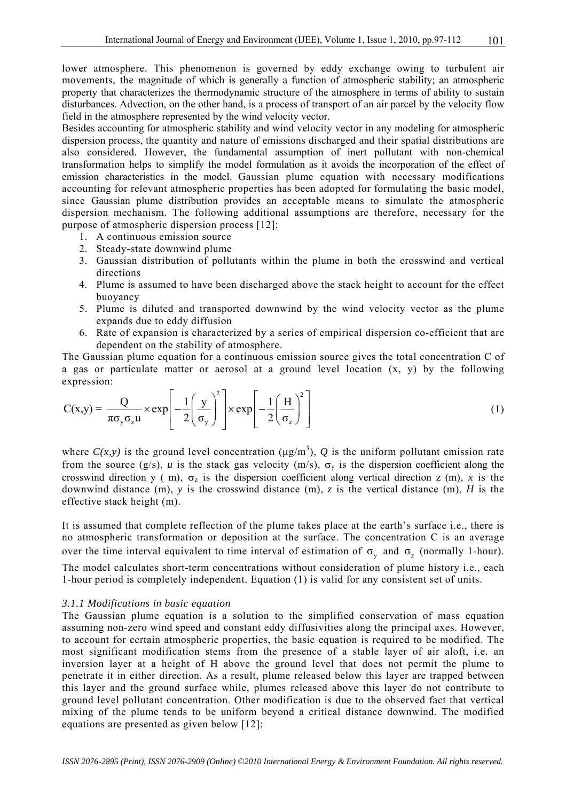lower atmosphere. This phenomenon is governed by eddy exchange owing to turbulent air movements, the magnitude of which is generally a function of atmospheric stability; an atmospheric property that characterizes the thermodynamic structure of the atmosphere in terms of ability to sustain disturbances. Advection, on the other hand, is a process of transport of an air parcel by the velocity flow field in the atmosphere represented by the wind velocity vector.

Besides accounting for atmospheric stability and wind velocity vector in any modeling for atmospheric dispersion process, the quantity and nature of emissions discharged and their spatial distributions are also considered. However, the fundamental assumption of inert pollutant with non-chemical transformation helps to simplify the model formulation as it avoids the incorporation of the effect of emission characteristics in the model. Gaussian plume equation with necessary modifications accounting for relevant atmospheric properties has been adopted for formulating the basic model, since Gaussian plume distribution provides an acceptable means to simulate the atmospheric dispersion mechanism. The following additional assumptions are therefore, necessary for the purpose of atmospheric dispersion process [12]:

- 1. A continuous emission source
- 2. Steady-state downwind plume
- 3. Gaussian distribution of pollutants within the plume in both the crosswind and vertical directions
- 4. Plume is assumed to have been discharged above the stack height to account for the effect buoyancy
- 5. Plume is diluted and transported downwind by the wind velocity vector as the plume expands due to eddy diffusion
- 6. Rate of expansion is characterized by a series of empirical dispersion co-efficient that are dependent on the stability of atmosphere.

The Gaussian plume equation for a continuous emission source gives the total concentration C of a gas or particulate matter or aerosol at a ground level location (x, y) by the following expression:

$$
C(x,y) = \frac{Q}{\pi \sigma_y \sigma_z u} \times \exp\left[-\frac{1}{2}\left(\frac{y}{\sigma_y}\right)^2\right] \times \exp\left[-\frac{1}{2}\left(\frac{H}{\sigma_z}\right)^2\right]
$$
(1)

where  $C(x, y)$  is the ground level concentration ( $\mu$ g/m<sup>3</sup>), Q is the uniform pollutant emission rate from the source (g/s), *u* is the stack gas velocity (m/s),  $\sigma_v$  is the dispersion coefficient along the crosswind direction y ( m),  $\sigma_z$  is the dispersion coefficient along vertical direction z (m), x is the downwind distance (m), *y* is the crosswind distance (m), *z* is the vertical distance (m), *H* is the effective stack height (m).

It is assumed that complete reflection of the plume takes place at the earth's surface i.e., there is no atmospheric transformation or deposition at the surface. The concentration C is an average over the time interval equivalent to time interval of estimation of  $\sigma_{v}$  and  $\sigma_{z}$  (normally 1-hour). The model calculates short-term concentrations without consideration of plume history i.e., each 1-hour period is completely independent. Equation (1) is valid for any consistent set of units.

# *3.1.1 Modifications in basic equation*

The Gaussian plume equation is a solution to the simplified conservation of mass equation assuming non-zero wind speed and constant eddy diffusivities along the principal axes. However, to account for certain atmospheric properties, the basic equation is required to be modified. The most significant modification stems from the presence of a stable layer of air aloft, i.e. an inversion layer at a height of H above the ground level that does not permit the plume to penetrate it in either direction. As a result, plume released below this layer are trapped between this layer and the ground surface while, plumes released above this layer do not contribute to ground level pollutant concentration. Other modification is due to the observed fact that vertical mixing of the plume tends to be uniform beyond a critical distance downwind. The modified equations are presented as given below [12]: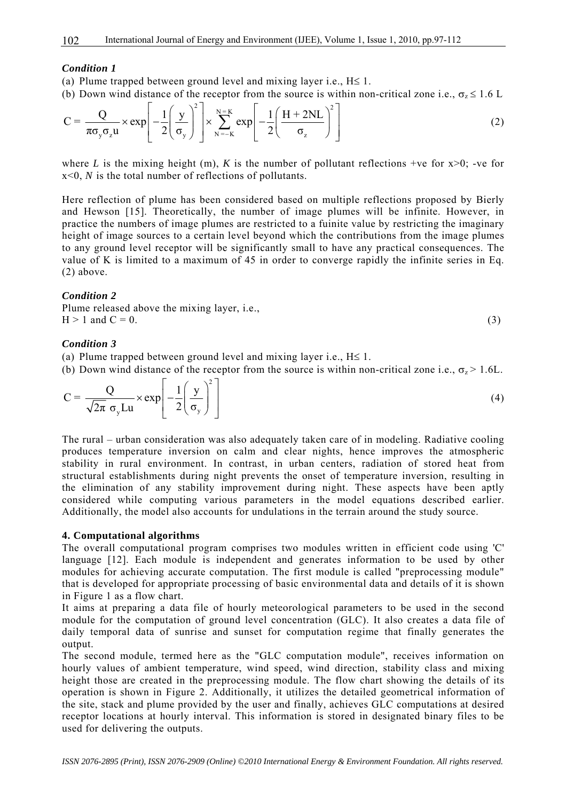#### *Condition 1*

(a) Plume trapped between ground level and mixing layer i.e.,  $H \le 1$ .

(b) Down wind distance of the receptor from the source is within non-critical zone i.e.,  $\sigma_z \le 1.6$  L

$$
C = \frac{Q}{\pi \sigma_y \sigma_z u} \times \exp\left[-\frac{1}{2} \left(\frac{y}{\sigma_y}\right)^2\right] \times \sum_{N=-K}^{N=K} \exp\left[-\frac{1}{2} \left(\frac{H + 2NL}{\sigma_z}\right)^2\right]
$$
(2)

where *L* is the mixing height (m), *K* is the number of pollutant reflections +ve for  $x>0$ ; -ve for x<0, *N* is the total number of reflections of pollutants.

Here reflection of plume has been considered based on multiple reflections proposed by Bierly and Hewson [15]. Theoretically, the number of image plumes will be infinite. However, in practice the numbers of image plumes are restricted to a fuinite value by restricting the imaginary height of image sources to a certain level beyond which the contributions from the image plumes to any ground level receptor will be significantly small to have any practical consequences. The value of K is limited to a maximum of 45 in order to converge rapidly the infinite series in Eq. (2) above.

#### *Condition 2*

Plume released above the mixing layer, i.e.,  $H > 1$  and  $C = 0$ . (3)

#### *Condition 3*

(a) Plume trapped between ground level and mixing layer i.e.,  $H \le 1$ .

(b) Down wind distance of the receptor from the source is within non-critical zone i.e.,  $\sigma_z > 1.6L$ .

$$
C = \frac{Q}{\sqrt{2\pi} \sigma_y Lu} \times \exp\left[-\frac{1}{2}\left(\frac{y}{\sigma_y}\right)^2\right]
$$
 (4)

The rural – urban consideration was also adequately taken care of in modeling. Radiative cooling produces temperature inversion on calm and clear nights, hence improves the atmospheric stability in rural environment. In contrast, in urban centers, radiation of stored heat from structural establishments during night prevents the onset of temperature inversion, resulting in the elimination of any stability improvement during night. These aspects have been aptly considered while computing various parameters in the model equations described earlier. Additionally, the model also accounts for undulations in the terrain around the study source.

#### **4. Computational algorithms**

The overall computational program comprises two modules written in efficient code using 'C' language [12]. Each module is independent and generates information to be used by other modules for achieving accurate computation. The first module is called "preprocessing module" that is developed for appropriate processing of basic environmental data and details of it is shown in Figure 1 as a flow chart.

It aims at preparing a data file of hourly meteorological parameters to be used in the second module for the computation of ground level concentration (GLC). It also creates a data file of daily temporal data of sunrise and sunset for computation regime that finally generates the output.

The second module, termed here as the "GLC computation module", receives information on hourly values of ambient temperature, wind speed, wind direction, stability class and mixing height those are created in the preprocessing module. The flow chart showing the details of its operation is shown in Figure 2. Additionally, it utilizes the detailed geometrical information of the site, stack and plume provided by the user and finally, achieves GLC computations at desired receptor locations at hourly interval. This information is stored in designated binary files to be used for delivering the outputs.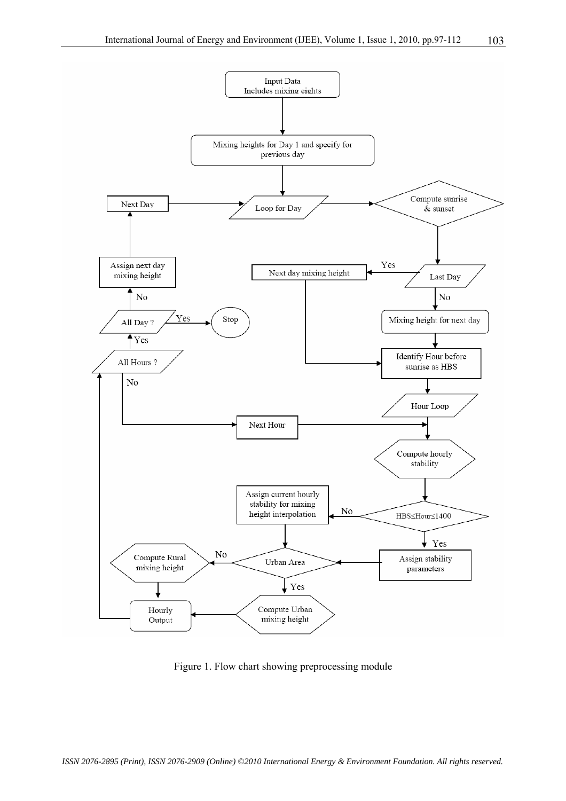

Figure 1. Flow chart showing preprocessing module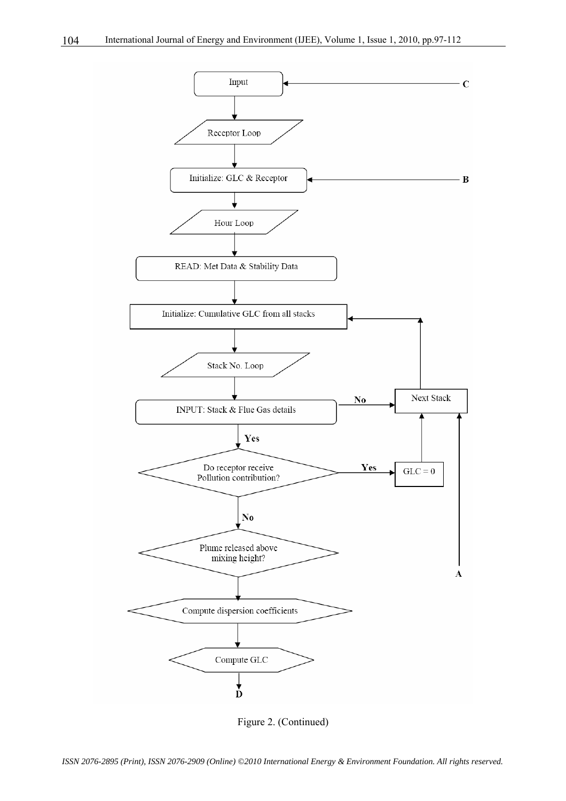

Figure 2. (Continued)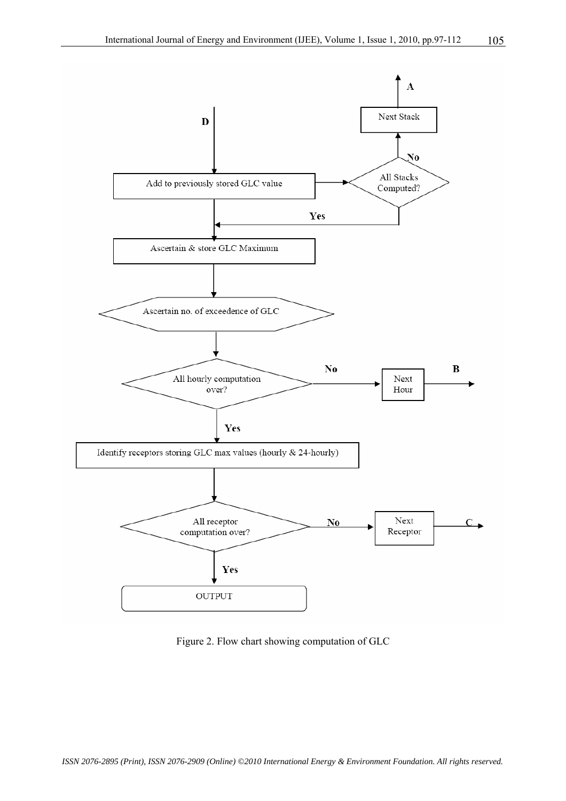

Figure 2. Flow chart showing computation of GLC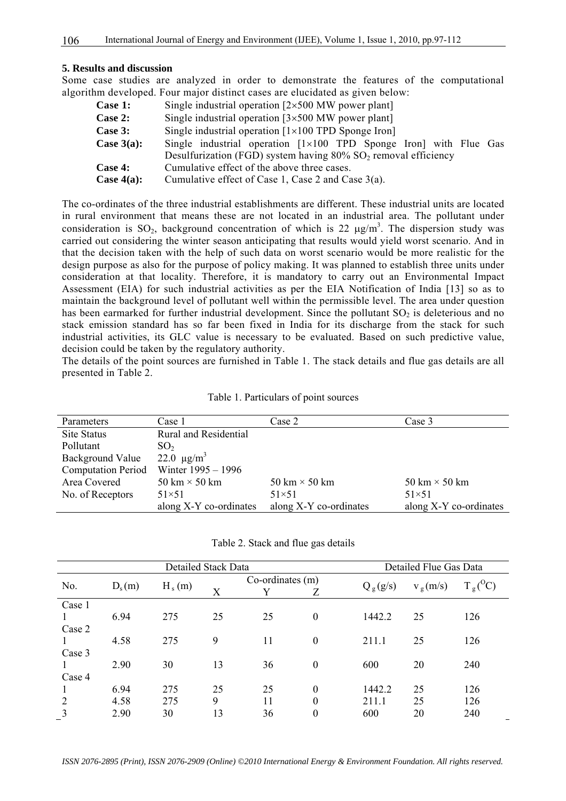#### **5. Results and discussion**

Some case studies are analyzed in order to demonstrate the features of the computational algorithm developed. Four major distinct cases are elucidated as given below:

| Case 1:       | Single industrial operation $[2 \times 500$ MW power plant]                   |  |  |  |  |  |  |
|---------------|-------------------------------------------------------------------------------|--|--|--|--|--|--|
| Case 2:       | Single industrial operation $[3 \times 500$ MW power plant]                   |  |  |  |  |  |  |
| Case 3:       | Single industrial operation $[1 \times 100$ TPD Sponge Iron]                  |  |  |  |  |  |  |
| Case $3(a)$ : | Single industrial operation $[1 \times 100$ TPD Sponge Iron with Flue Gas     |  |  |  |  |  |  |
|               | Desulfurization (FGD) system having $80\%$ SO <sub>2</sub> removal efficiency |  |  |  |  |  |  |
| Case 4:       | Cumulative effect of the above three cases.                                   |  |  |  |  |  |  |
| Case $4(a)$ : | Cumulative effect of Case 1, Case 2 and Case $3(a)$ .                         |  |  |  |  |  |  |

The co-ordinates of the three industrial establishments are different. These industrial units are located in rural environment that means these are not located in an industrial area. The pollutant under consideration is  $SO_2$ , background concentration of which is 22  $\mu$ g/m<sup>3</sup>. The dispersion study was carried out considering the winter season anticipating that results would yield worst scenario. And in that the decision taken with the help of such data on worst scenario would be more realistic for the design purpose as also for the purpose of policy making. It was planned to establish three units under consideration at that locality. Therefore, it is mandatory to carry out an Environmental Impact Assessment (EIA) for such industrial activities as per the EIA Notification of India [13] so as to maintain the background level of pollutant well within the permissible level. The area under question has been earmarked for further industrial development. Since the pollutant  $SO<sub>2</sub>$  is deleterious and no stack emission standard has so far been fixed in India for its discharge from the stack for such industrial activities, its GLC value is necessary to be evaluated. Based on such predictive value, decision could be taken by the regulatory authority.

The details of the point sources are furnished in Table 1. The stack details and flue gas details are all presented in Table 2.

| Parameters                | Case 1                       | Case 2                 | Case 3                 |
|---------------------------|------------------------------|------------------------|------------------------|
| Site Status               | <b>Rural and Residential</b> |                        |                        |
| Pollutant                 | SO <sub>2</sub>              |                        |                        |
| Background Value          | 22.0 $\mu$ g/m <sup>3</sup>  |                        |                        |
| <b>Computation Period</b> | Winter 1995 – 1996           |                        |                        |
| Area Covered              | 50 km $\times$ 50 km         | 50 km $\times$ 50 km   | 50 km $\times$ 50 km   |
| No. of Receptors          | $51\times51$                 | $51\times51$           | $51\times51$           |
|                           | along X-Y co-ordinates       | along X-Y co-ordinates | along X-Y co-ordinates |

Table 1. Particulars of point sources

| Table 2. Stack and flue gas details |  |  |  |  |  |
|-------------------------------------|--|--|--|--|--|
|-------------------------------------|--|--|--|--|--|

| <b>Detailed Stack Data</b> |      |                      |    |                  | Detailed Flue Gas Data |            |            |            |
|----------------------------|------|----------------------|----|------------------|------------------------|------------|------------|------------|
| No.                        |      | $H_s(m)$<br>$D_s(m)$ |    | Co-ordinates (m) |                        |            | $v_g(m/s)$ | $T_g(^0C)$ |
|                            |      |                      | X  | Y                | Ζ                      | $Q_g(g/s)$ |            |            |
| Case 1                     |      |                      |    |                  |                        |            |            |            |
|                            | 6.94 | 275                  | 25 | 25               | $\boldsymbol{0}$       | 1442.2     | 25         | 126        |
| Case 2                     |      |                      |    |                  |                        |            |            |            |
|                            | 4.58 | 275                  | 9  | 11               | $\theta$               | 211.1      | 25         | 126        |
| Case 3                     |      |                      |    |                  |                        |            |            |            |
|                            | 2.90 | 30                   | 13 | 36               | $\boldsymbol{0}$       | 600        | 20         | 240        |
| Case 4                     |      |                      |    |                  |                        |            |            |            |
|                            | 6.94 | 275                  | 25 | 25               | $\theta$               | 1442.2     | 25         | 126        |
| 2                          | 4.58 | 275                  | 9  | 11               | $\theta$               | 211.1      | 25         | 126        |
| 3                          | 2.90 | 30                   | 13 | 36               | $\theta$               | 600        | 20         | 240        |

*ISSN 2076-2895 (Print), ISSN 2076-2909 (Online) ©2010 International Energy & Environment Foundation. All rights reserved.*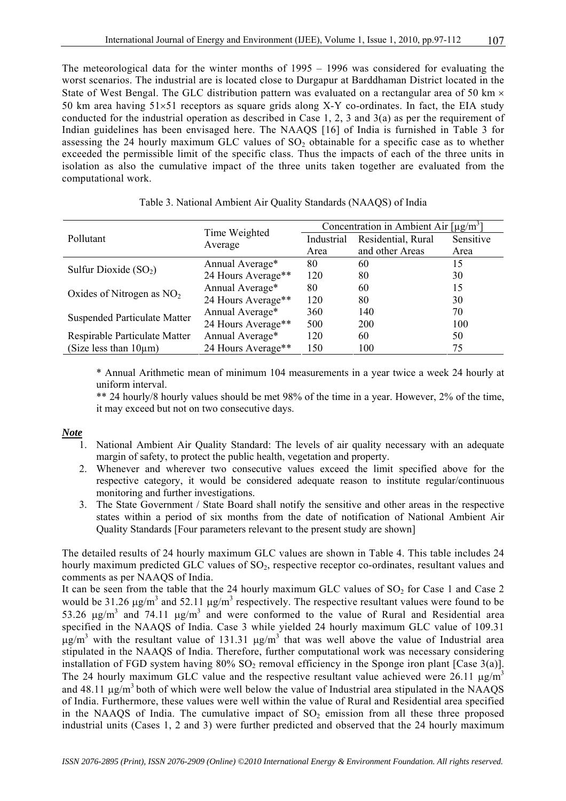The meteorological data for the winter months of 1995 – 1996 was considered for evaluating the worst scenarios. The industrial are is located close to Durgapur at Barddhaman District located in the State of West Bengal. The GLC distribution pattern was evaluated on a rectangular area of 50 km  $\times$ 50 km area having 51×51 receptors as square grids along X-Y co-ordinates. In fact, the EIA study conducted for the industrial operation as described in Case 1, 2, 3 and 3(a) as per the requirement of Indian guidelines has been envisaged here. The NAAQS [16] of India is furnished in Table 3 for assessing the 24 hourly maximum GLC values of  $SO<sub>2</sub>$  obtainable for a specific case as to whether exceeded the permissible limit of the specific class. Thus the impacts of each of the three units in isolation as also the cumulative impact of the three units taken together are evaluated from the computational work.

|                                     | Time Weighted      | Concentration in Ambient Air $\lceil \mu g/m^3 \rceil$ |                    |           |  |
|-------------------------------------|--------------------|--------------------------------------------------------|--------------------|-----------|--|
| Pollutant                           |                    | Industrial                                             | Residential, Rural | Sensitive |  |
|                                     | Average            | Area                                                   | and other Areas    | Area      |  |
| Sulfur Dioxide $(SO2)$              | Annual Average*    | 80                                                     | 60                 | 15        |  |
|                                     | 24 Hours Average** | 120                                                    | 80                 | 30        |  |
| Oxides of Nitrogen as $NO2$         | Annual Average*    | 80                                                     | 60                 | 15        |  |
|                                     | 24 Hours Average** | 120                                                    | 80                 | 30        |  |
| <b>Suspended Particulate Matter</b> | Annual Average*    | 360                                                    | 140                | 70        |  |
|                                     | 24 Hours Average** | 500                                                    | 200                | 100       |  |
| Respirable Particulate Matter       | Annual Average*    | 120                                                    | 60                 | 50        |  |
| (Size less than $10\mu m$ )         | 24 Hours Average** | 150                                                    | 100                | 75        |  |

#### Table 3. National Ambient Air Quality Standards (NAAQS) of India

\* Annual Arithmetic mean of minimum 104 measurements in a year twice a week 24 hourly at uniform interval.

\*\* 24 hourly/8 hourly values should be met 98% of the time in a year. However, 2% of the time, it may exceed but not on two consecutive days.

# *Note*

- 1. National Ambient Air Quality Standard: The levels of air quality necessary with an adequate margin of safety, to protect the public health, vegetation and property.
- 2. Whenever and wherever two consecutive values exceed the limit specified above for the respective category, it would be considered adequate reason to institute regular/continuous monitoring and further investigations.
- 3. The State Government / State Board shall notify the sensitive and other areas in the respective states within a period of six months from the date of notification of National Ambient Air Quality Standards [Four parameters relevant to the present study are shown]

The detailed results of 24 hourly maximum GLC values are shown in Table 4. This table includes 24 hourly maximum predicted GLC values of SO<sub>2</sub>, respective receptor co-ordinates, resultant values and comments as per NAAQS of India.

It can be seen from the table that the 24 hourly maximum GLC values of  $SO<sub>2</sub>$  for Case 1 and Case 2 would be 31.26  $\mu$ g/m<sup>3</sup> and 52.11  $\mu$ g/m<sup>3</sup> respectively. The respective resultant values were found to be 53.26  $\mu$ g/m<sup>3</sup> and 74.11  $\mu$ g/m<sup>3</sup> and were conformed to the value of Rural and Residential area specified in the NAAQS of India. Case 3 while yielded 24 hourly maximum GLC value of 109.31  $\mu$ g/m<sup>3</sup> with the resultant value of 131.31  $\mu$ g/m<sup>3</sup> that was well above the value of Industrial area stipulated in the NAAQS of India. Therefore, further computational work was necessary considering installation of FGD system having  $80\%$  SO<sub>2</sub> removal efficiency in the Sponge iron plant [Case 3(a)]. The 24 hourly maximum GLC value and the respective resultant value achieved were 26.11  $\mu$ g/m<sup>3</sup> and  $48.11 \mu g/m^3$  both of which were well below the value of Industrial area stipulated in the NAAQS of India. Furthermore, these values were well within the value of Rural and Residential area specified in the NAAQS of India. The cumulative impact of  $SO<sub>2</sub>$  emission from all these three proposed industrial units (Cases 1, 2 and 3) were further predicted and observed that the 24 hourly maximum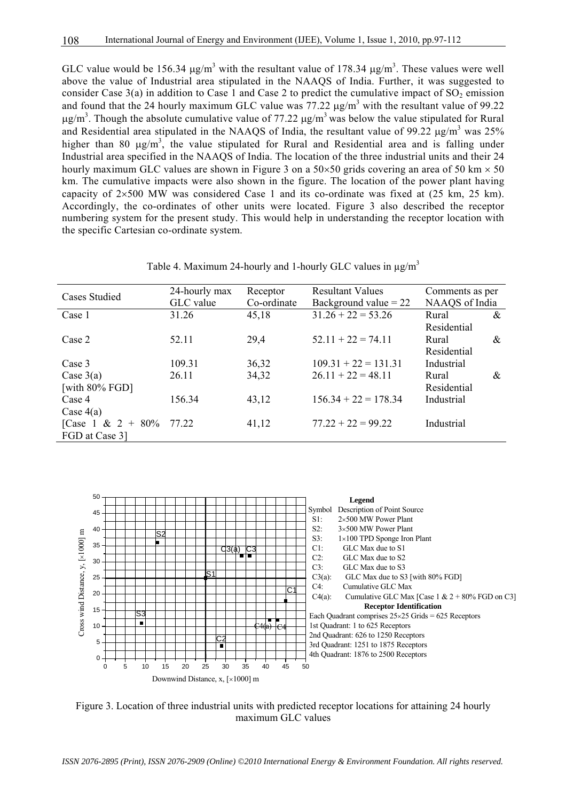GLC value would be 156.34  $\mu$ g/m<sup>3</sup> with the resultant value of 178.34  $\mu$ g/m<sup>3</sup>. These values were well above the value of Industrial area stipulated in the NAAQS of India. Further, it was suggested to consider Case  $3(a)$  in addition to Case 1 and Case 2 to predict the cumulative impact of SO<sub>2</sub> emission and found that the 24 hourly maximum GLC value was 77.22  $\mu$ g/m<sup>3</sup> with the resultant value of 99.22  $\mu$ g/m<sup>3</sup>. Though the absolute cumulative value of 77.22  $\mu$ g/m<sup>3</sup> was below the value stipulated for Rural and Residential area stipulated in the NAAQS of India, the resultant value of 99.22  $\mu$ g/m<sup>3</sup> was 25% higher than 80  $\mu$ g/m<sup>3</sup>, the value stipulated for Rural and Residential area and is falling under Industrial area specified in the NAAQS of India. The location of the three industrial units and their 24 hourly maximum GLC values are shown in Figure 3 on a  $50 \times 50$  grids covering an area of 50 km  $\times$  50 km. The cumulative impacts were also shown in the figure. The location of the power plant having capacity of  $2\times500$  MW was considered Case 1 and its co-ordinate was fixed at (25 km, 25 km). Accordingly, the co-ordinates of other units were located. Figure 3 also described the receptor numbering system for the present study. This would help in understanding the receptor location with the specific Cartesian co-ordinate system.

Table 4. Maximum 24-hourly and 1-hourly GLC values in  $\mu$ g/m<sup>3</sup>

| <b>Cases Studied</b>     | 24-hourly max | <b>Resultant Values</b><br>Receptor |                         | Comments as per |  |
|--------------------------|---------------|-------------------------------------|-------------------------|-----------------|--|
|                          | GLC value     | Co-ordinate                         | Background value $= 22$ | NAAQS of India  |  |
| Case 1                   | 31.26         | 45,18                               | $31.26 + 22 = 53.26$    | &<br>Rural      |  |
|                          |               |                                     |                         | Residential     |  |
| Case 2                   | 52.11         | 29,4                                | $52.11 + 22 = 74.11$    | &<br>Rural      |  |
|                          |               |                                     |                         | Residential     |  |
| Case 3                   | 109.31        | 36,32                               | $109.31 + 22 = 131.31$  | Industrial      |  |
| Case $3(a)$              | 26.11         | 34,32                               | $26.11 + 22 = 48.11$    | &<br>Rural      |  |
| [with $80\%$ FGD]        |               |                                     |                         | Residential     |  |
| Case 4                   | 156.34        | 43,12                               | $156.34 + 22 = 178.34$  | Industrial      |  |
| Case $4(a)$              |               |                                     |                         |                 |  |
| [Case 1 & 2 + 80% 77.22] |               | 41,12                               | $77.22 + 22 = 99.22$    | Industrial      |  |
| FGD at Case 31           |               |                                     |                         |                 |  |



Figure 3. Location of three industrial units with predicted receptor locations for attaining 24 hourly maximum GLC values

*ISSN 2076-2895 (Print), ISSN 2076-2909 (Online) ©2010 International Energy & Environment Foundation. All rights reserved.*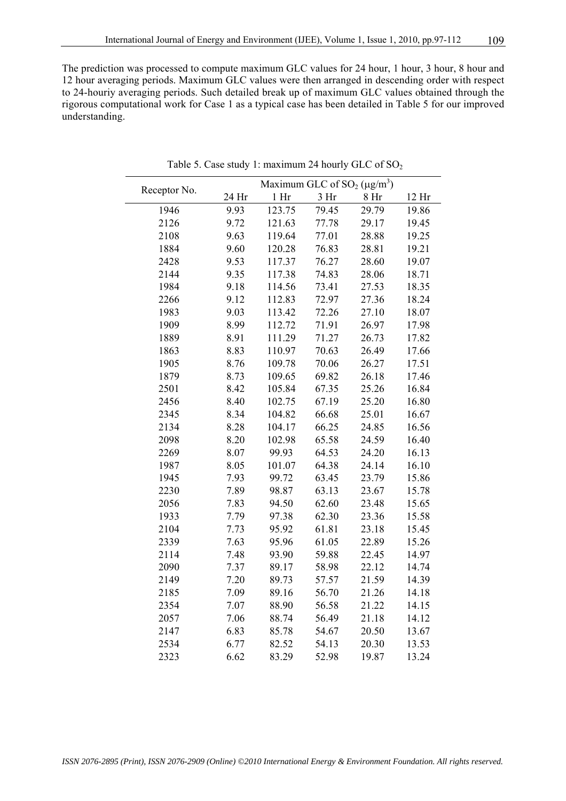The prediction was processed to compute maximum GLC values for 24 hour, 1 hour, 3 hour, 8 hour and 12 hour averaging periods. Maximum GLC values were then arranged in descending order with respect to 24-houriy averaging periods. Such detailed break up of maximum GLC values obtained through the rigorous computational work for Case 1 as a typical case has been detailed in Table 5 for our improved understanding.

| Receptor No. |       | Maximum GLC of $SO_2(\mu g/m^3)$ |                 |                 |       |
|--------------|-------|----------------------------------|-----------------|-----------------|-------|
|              | 24 Hr | 1 <sup>h</sup>                   | 3 <sub>hr</sub> | 8 <sub>hr</sub> | 12 Hr |
| 1946         | 9.93  | 123.75                           | 79.45           | 29.79           | 19.86 |
| 2126         | 9.72  | 121.63                           | 77.78           | 29.17           | 19.45 |
| 2108         | 9.63  | 119.64                           | 77.01           | 28.88           | 19.25 |
| 1884         | 9.60  | 120.28                           | 76.83           | 28.81           | 19.21 |
| 2428         | 9.53  | 117.37                           | 76.27           | 28.60           | 19.07 |
| 2144         | 9.35  | 117.38                           | 74.83           | 28.06           | 18.71 |
| 1984         | 9.18  | 114.56                           | 73.41           | 27.53           | 18.35 |
| 2266         | 9.12  | 112.83                           | 72.97           | 27.36           | 18.24 |
| 1983         | 9.03  | 113.42                           | 72.26           | 27.10           | 18.07 |
| 1909         | 8.99  | 112.72                           | 71.91           | 26.97           | 17.98 |
| 1889         | 8.91  | 111.29                           | 71.27           | 26.73           | 17.82 |
| 1863         | 8.83  | 110.97                           | 70.63           | 26.49           | 17.66 |
| 1905         | 8.76  | 109.78                           | 70.06           | 26.27           | 17.51 |
| 1879         | 8.73  | 109.65                           | 69.82           | 26.18           | 17.46 |
| 2501         | 8.42  | 105.84                           | 67.35           | 25.26           | 16.84 |
| 2456         | 8.40  | 102.75                           | 67.19           | 25.20           | 16.80 |
| 2345         | 8.34  | 104.82                           | 66.68           | 25.01           | 16.67 |
| 2134         | 8.28  | 104.17                           | 66.25           | 24.85           | 16.56 |
| 2098         | 8.20  | 102.98                           | 65.58           | 24.59           | 16.40 |
| 2269         | 8.07  | 99.93                            | 64.53           | 24.20           | 16.13 |
| 1987         | 8.05  | 101.07                           | 64.38           | 24.14           | 16.10 |
| 1945         | 7.93  | 99.72                            | 63.45           | 23.79           | 15.86 |
| 2230         | 7.89  | 98.87                            | 63.13           | 23.67           | 15.78 |
| 2056         | 7.83  | 94.50                            | 62.60           | 23.48           | 15.65 |
| 1933         | 7.79  | 97.38                            | 62.30           | 23.36           | 15.58 |
| 2104         | 7.73  | 95.92                            | 61.81           | 23.18           | 15.45 |
| 2339         | 7.63  | 95.96                            | 61.05           | 22.89           | 15.26 |
| 2114         | 7.48  | 93.90                            | 59.88           | 22.45           | 14.97 |
| 2090         | 7.37  | 89.17                            | 58.98           | 22.12           | 14.74 |
| 2149         | 7.20  | 89.73                            | 57.57           | 21.59           | 14.39 |
| 2185         | 7.09  | 89.16                            | 56.70           | 21.26           | 14.18 |
| 2354         | 7.07  | 88.90                            | 56.58           | 21.22           | 14.15 |
| 2057         | 7.06  | 88.74                            | 56.49           | 21.18           | 14.12 |
| 2147         | 6.83  | 85.78                            | 54.67           | 20.50           | 13.67 |
| 2534         | 6.77  | 82.52                            | 54.13           | 20.30           | 13.53 |
| 2323         | 6.62  | 83.29                            | 52.98           | 19.87           | 13.24 |

Table 5. Case study 1: maximum 24 hourly GLC of  $SO_2$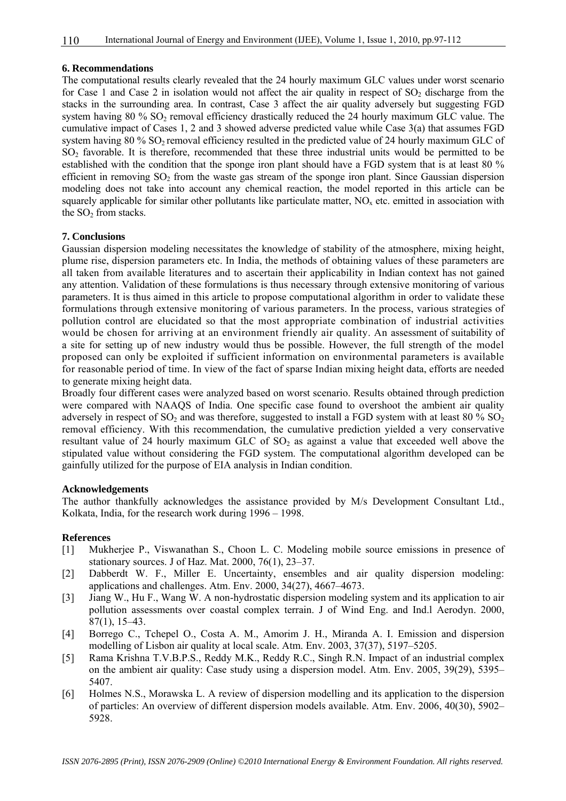# **6. Recommendations**

The computational results clearly revealed that the 24 hourly maximum GLC values under worst scenario for Case 1 and Case 2 in isolation would not affect the air quality in respect of  $SO<sub>2</sub>$  discharge from the stacks in the surrounding area. In contrast, Case 3 affect the air quality adversely but suggesting FGD system having  $80\%$  SO<sub>2</sub> removal efficiency drastically reduced the 24 hourly maximum GLC value. The cumulative impact of Cases 1, 2 and 3 showed adverse predicted value while Case 3(a) that assumes FGD system having 80 % SO<sub>2</sub> removal efficiency resulted in the predicted value of 24 hourly maximum GLC of SO<sub>2</sub> favorable. It is therefore, recommended that these three industrial units would be permitted to be established with the condition that the sponge iron plant should have a FGD system that is at least 80 % efficient in removing SO<sub>2</sub> from the waste gas stream of the sponge iron plant. Since Gaussian dispersion modeling does not take into account any chemical reaction, the model reported in this article can be squarely applicable for similar other pollutants like particulate matter,  $NO<sub>x</sub>$  etc. emitted in association with the  $SO<sub>2</sub>$  from stacks.

## **7. Conclusions**

Gaussian dispersion modeling necessitates the knowledge of stability of the atmosphere, mixing height, plume rise, dispersion parameters etc. In India, the methods of obtaining values of these parameters are all taken from available literatures and to ascertain their applicability in Indian context has not gained any attention. Validation of these formulations is thus necessary through extensive monitoring of various parameters. It is thus aimed in this article to propose computational algorithm in order to validate these formulations through extensive monitoring of various parameters. In the process, various strategies of pollution control are elucidated so that the most appropriate combination of industrial activities would be chosen for arriving at an environment friendly air quality. An assessment of suitability of a site for setting up of new industry would thus be possible. However, the full strength of the model proposed can only be exploited if sufficient information on environmental parameters is available for reasonable period of time. In view of the fact of sparse Indian mixing height data, efforts are needed to generate mixing height data.

Broadly four different cases were analyzed based on worst scenario. Results obtained through prediction were compared with NAAQS of India. One specific case found to overshoot the ambient air quality adversely in respect of  $SO_2$  and was therefore, suggested to install a FGD system with at least 80 %  $SO_2$ removal efficiency. With this recommendation, the cumulative prediction yielded a very conservative resultant value of 24 hourly maximum GLC of  $SO<sub>2</sub>$  as against a value that exceeded well above the stipulated value without considering the FGD system. The computational algorithm developed can be gainfully utilized for the purpose of EIA analysis in Indian condition.

#### **Acknowledgements**

The author thankfully acknowledges the assistance provided by M/s Development Consultant Ltd., Kolkata, India, for the research work during 1996 – 1998.

### **References**

- [1] Mukherjee P., Viswanathan S., Choon L. C. Modeling mobile source emissions in presence of stationary sources. J of Haz. Mat. 2000, 76(1), 23–37.
- [2] Dabberdt W. F., Miller E. Uncertainty, ensembles and air quality dispersion modeling: applications and challenges. Atm. Env. 2000, 34(27), 4667–4673.
- [3] Jiang W., Hu F., Wang W. A non-hydrostatic dispersion modeling system and its application to air pollution assessments over coastal complex terrain. J of Wind Eng. and Ind.l Aerodyn. 2000, 87(1), 15–43.
- [4] Borrego C., Tchepel O., Costa A. M., Amorim J. H., Miranda A. I. Emission and dispersion modelling of Lisbon air quality at local scale. Atm. Env. 2003, 37(37), 5197–5205.
- [5] Rama Krishna T.V.B.P.S., Reddy M.K., Reddy R.C., Singh R.N. Impact of an industrial complex on the ambient air quality: Case study using a dispersion model. Atm. Env. 2005, 39(29), 5395– 5407.
- [6] Holmes N.S., Morawska L. A review of dispersion modelling and its application to the dispersion of particles: An overview of different dispersion models available. Atm. Env. 2006, 40(30), 5902– 5928.